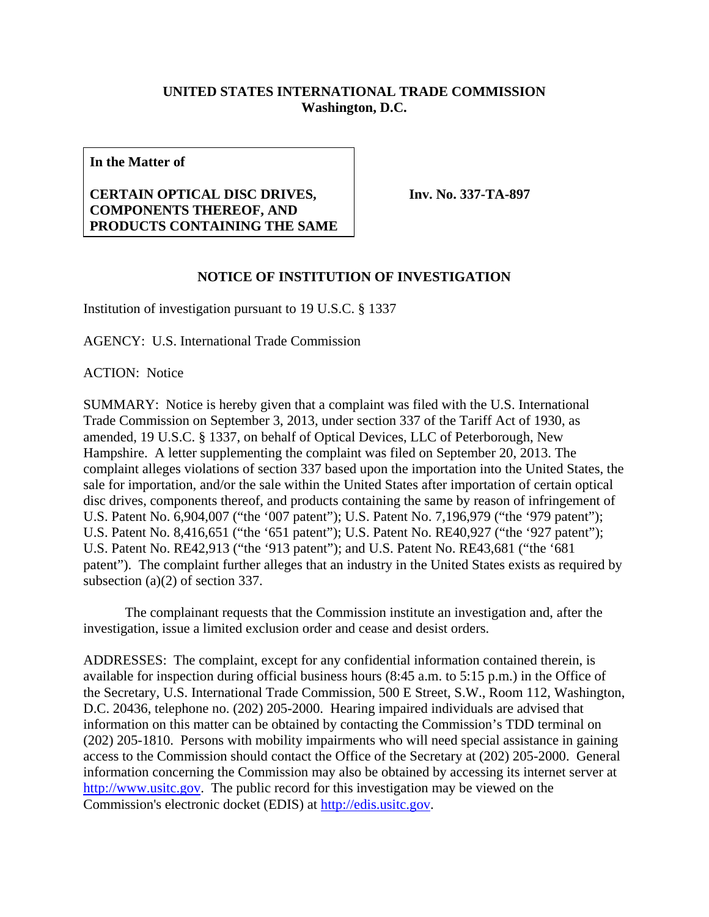## **UNITED STATES INTERNATIONAL TRADE COMMISSION Washington, D.C.**

**In the Matter of** 

## **CERTAIN OPTICAL DISC DRIVES, COMPONENTS THEREOF, AND PRODUCTS CONTAINING THE SAME**

**Inv. No. 337-TA-897**

## **NOTICE OF INSTITUTION OF INVESTIGATION**

Institution of investigation pursuant to 19 U.S.C. § 1337

AGENCY: U.S. International Trade Commission

ACTION: Notice

SUMMARY: Notice is hereby given that a complaint was filed with the U.S. International Trade Commission on September 3, 2013, under section 337 of the Tariff Act of 1930, as amended, 19 U.S.C. § 1337, on behalf of Optical Devices, LLC of Peterborough, New Hampshire. A letter supplementing the complaint was filed on September 20, 2013. The complaint alleges violations of section 337 based upon the importation into the United States, the sale for importation, and/or the sale within the United States after importation of certain optical disc drives, components thereof, and products containing the same by reason of infringement of U.S. Patent No. 6,904,007 ("the '007 patent"); U.S. Patent No. 7,196,979 ("the '979 patent"); U.S. Patent No. 8,416,651 ("the '651 patent"); U.S. Patent No. RE40,927 ("the '927 patent"); U.S. Patent No. RE42,913 ("the '913 patent"); and U.S. Patent No. RE43,681 ("the '681 patent"). The complaint further alleges that an industry in the United States exists as required by subsection (a)(2) of section 337.

 The complainant requests that the Commission institute an investigation and, after the investigation, issue a limited exclusion order and cease and desist orders.

ADDRESSES: The complaint, except for any confidential information contained therein, is available for inspection during official business hours (8:45 a.m. to 5:15 p.m.) in the Office of the Secretary, U.S. International Trade Commission, 500 E Street, S.W., Room 112, Washington, D.C. 20436, telephone no. (202) 205-2000. Hearing impaired individuals are advised that information on this matter can be obtained by contacting the Commission's TDD terminal on (202) 205-1810. Persons with mobility impairments who will need special assistance in gaining access to the Commission should contact the Office of the Secretary at (202) 205-2000. General information concerning the Commission may also be obtained by accessing its internet server at http://www.usitc.gov. The public record for this investigation may be viewed on the Commission's electronic docket (EDIS) at http://edis.usitc.gov.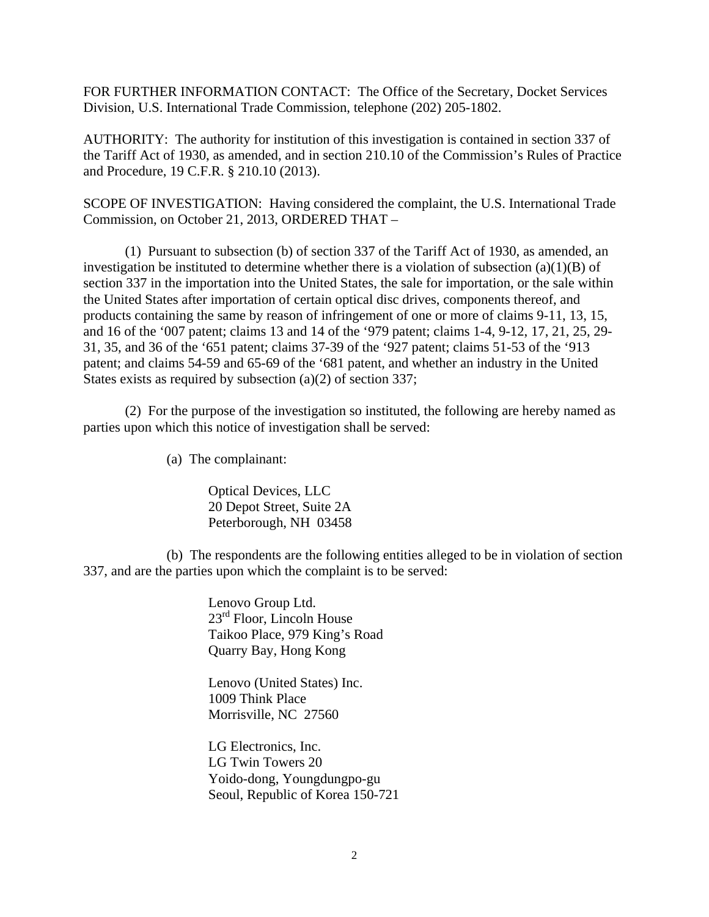FOR FURTHER INFORMATION CONTACT: The Office of the Secretary, Docket Services Division, U.S. International Trade Commission, telephone (202) 205-1802.

AUTHORITY: The authority for institution of this investigation is contained in section 337 of the Tariff Act of 1930, as amended, and in section 210.10 of the Commission's Rules of Practice and Procedure, 19 C.F.R. § 210.10 (2013).

SCOPE OF INVESTIGATION: Having considered the complaint, the U.S. International Trade Commission, on October 21, 2013, ORDERED THAT –

 (1) Pursuant to subsection (b) of section 337 of the Tariff Act of 1930, as amended, an investigation be instituted to determine whether there is a violation of subsection  $(a)(1)(B)$  of section 337 in the importation into the United States, the sale for importation, or the sale within the United States after importation of certain optical disc drives, components thereof, and products containing the same by reason of infringement of one or more of claims 9-11, 13, 15, and 16 of the '007 patent; claims 13 and 14 of the '979 patent; claims 1-4, 9-12, 17, 21, 25, 29- 31, 35, and 36 of the '651 patent; claims 37-39 of the '927 patent; claims 51-53 of the '913 patent; and claims 54-59 and 65-69 of the '681 patent, and whether an industry in the United States exists as required by subsection (a)(2) of section 337;

 (2) For the purpose of the investigation so instituted, the following are hereby named as parties upon which this notice of investigation shall be served:

(a) The complainant:

Optical Devices, LLC 20 Depot Street, Suite 2A Peterborough, NH 03458

 (b) The respondents are the following entities alleged to be in violation of section 337, and are the parties upon which the complaint is to be served:

> Lenovo Group Ltd. 23<sup>rd</sup> Floor, Lincoln House Taikoo Place, 979 King's Road Quarry Bay, Hong Kong

 Lenovo (United States) Inc. 1009 Think Place Morrisville, NC 27560

 LG Electronics, Inc. LG Twin Towers 20 Yoido-dong, Youngdungpo-gu Seoul, Republic of Korea 150-721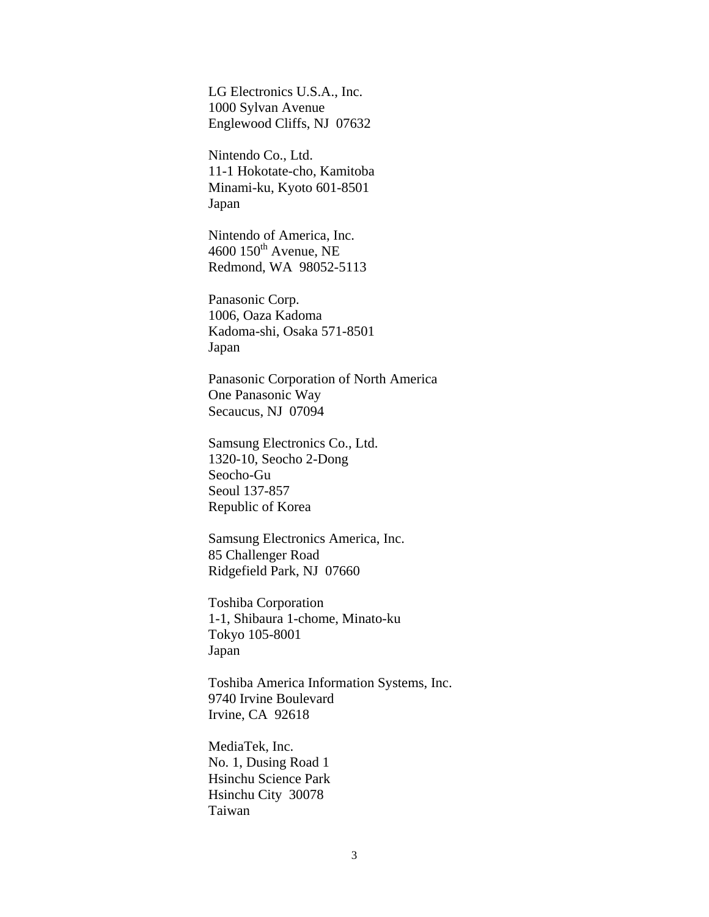LG Electronics U.S.A., Inc. 1000 Sylvan Avenue Englewood Cliffs, NJ 07632

 Nintendo Co., Ltd. 11-1 Hokotate-cho, Kamitoba Minami-ku, Kyoto 601-8501 Japan

 Nintendo of America, Inc. 4600  $150<sup>th</sup>$  Avenue, NE Redmond, WA 98052-5113

 Panasonic Corp. 1006, Oaza Kadoma Kadoma-shi, Osaka 571-8501 Japan

 Panasonic Corporation of North America One Panasonic Way Secaucus, NJ 07094

 Samsung Electronics Co., Ltd. 1320-10, Seocho 2-Dong Seocho-Gu Seoul 137-857 Republic of Korea

 Samsung Electronics America, Inc. 85 Challenger Road Ridgefield Park, NJ 07660

 Toshiba Corporation 1-1, Shibaura 1-chome, Minato-ku Tokyo 105-8001 Japan

 Toshiba America Information Systems, Inc. 9740 Irvine Boulevard Irvine, CA 92618

 MediaTek, Inc. No. 1, Dusing Road 1 Hsinchu Science Park Hsinchu City 30078 Taiwan